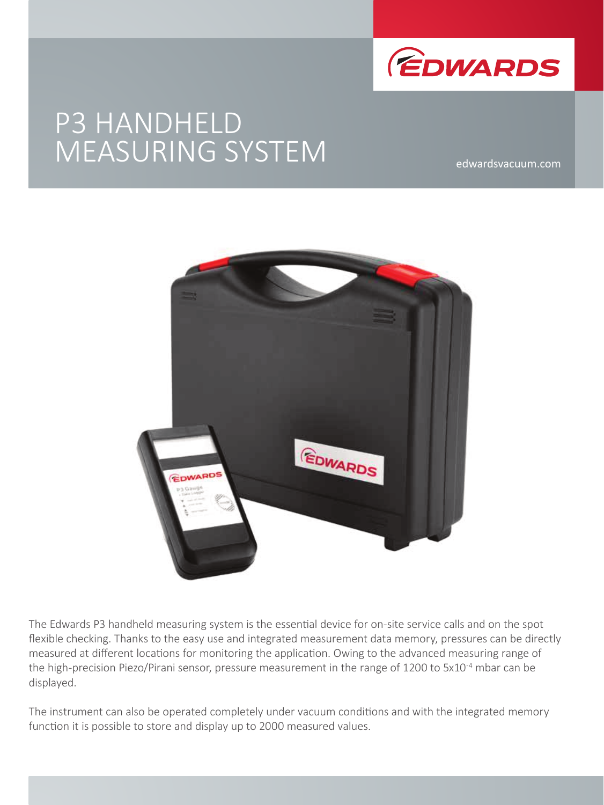

# P3 HANDHELD MEASURING SYSTEM

edwardsvacuum.com



The Edwards P3 handheld measuring system is the essential device for on-site service calls and on the spot flexible checking. Thanks to the easy use and integrated measurement data memory, pressures can be directly measured at different locations for monitoring the application. Owing to the advanced measuring range of the high-precision Piezo/Pirani sensor, pressure measurement in the range of 1200 to 5x10<sup>-4</sup> mbar can be displayed.

The instrument can also be operated completely under vacuum conditions and with the integrated memory function it is possible to store and display up to 2000 measured values.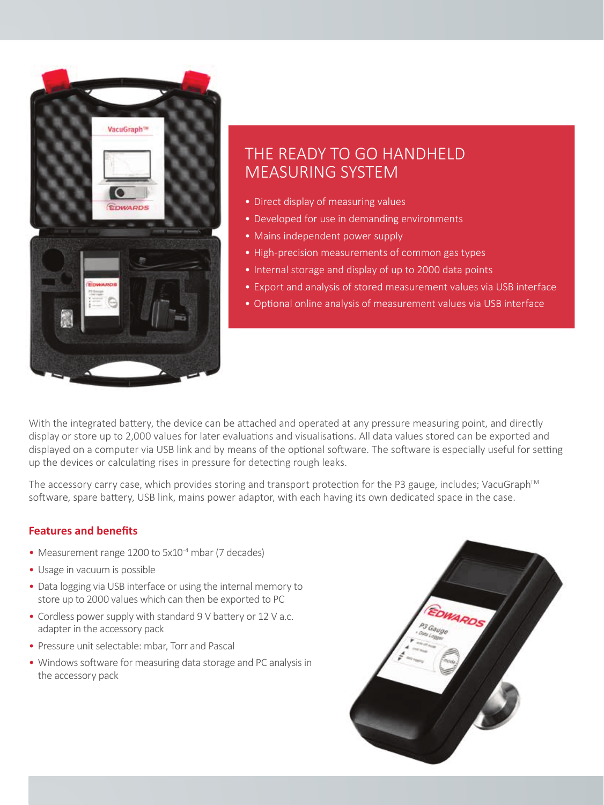

# THE READY TO GO HANDHELD MEASURING SYSTEM

- Direct display of measuring values
- Developed for use in demanding environments
- Mains independent power supply
- High-precision measurements of common gas types
- Internal storage and display of up to 2000 data points
- Export and analysis of stored measurement values via USB interface
- Optional online analysis of measurement values via USB interface

With the integrated battery, the device can be attached and operated at any pressure measuring point, and directly display or store up to 2,000 values for later evaluations and visualisations. All data values stored can be exported and displayed on a computer via USB link and by means of the optional software. The software is especially useful for setting up the devices or calculating rises in pressure for detecting rough leaks.

The accessory carry case, which provides storing and transport protection for the P3 gauge, includes; VacuGraph™ software, spare battery, USB link, mains power adaptor, with each having its own dedicated space in the case.

#### **Features and benefits**

- Measurement range 1200 to 5x10<sup>-4</sup> mbar (7 decades)
- Usage in vacuum is possible
- Data logging via USB interface or using the internal memory to store up to 2000 values which can then be exported to PC
- Cordless power supply with standard 9 V battery or 12 V a.c. adapter in the accessory pack
- Pressure unit selectable: mbar, Torr and Pascal
- Windows software for measuring data storage and PC analysis in the accessory pack

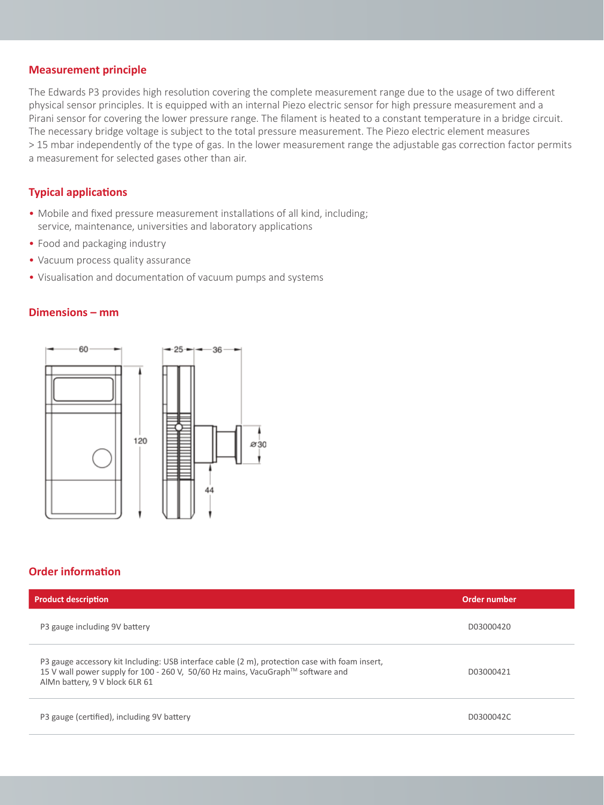#### **Measurement principle**

The Edwards P3 provides high resolution covering the complete measurement range due to the usage of two different physical sensor principles. It is equipped with an internal Piezo electric sensor for high pressure measurement and a Pirani sensor for covering the lower pressure range. The filament is heated to a constant temperature in a bridge circuit. The necessary bridge voltage is subject to the total pressure measurement. The Piezo electric element measures > 15 mbar independently of the type of gas. In the lower measurement range the adjustable gas correction factor permits a measurement for selected gases other than air.

#### **Typical applications**

- Mobile and fixed pressure measurement installations of all kind, including; service, maintenance, universities and laboratory applications
- Food and packaging industry
- Vacuum process quality assurance
- Visualisation and documentation of vacuum pumps and systems

#### **Dimensions – mm**



# **Order information**

| <b>Product description</b>                                                                                                                                                                                          | Order number |
|---------------------------------------------------------------------------------------------------------------------------------------------------------------------------------------------------------------------|--------------|
| P3 gauge including 9V battery                                                                                                                                                                                       | D03000420    |
| P3 gauge accessory kit Including: USB interface cable (2 m), protection case with foam insert,<br>15 V wall power supply for 100 - 260 V, 50/60 Hz mains, VacuGraph™ software and<br>AIMn battery, 9 V block 6LR 61 | D03000421    |
| P3 gauge (certified), including 9V battery                                                                                                                                                                          | D0300042C    |
|                                                                                                                                                                                                                     |              |